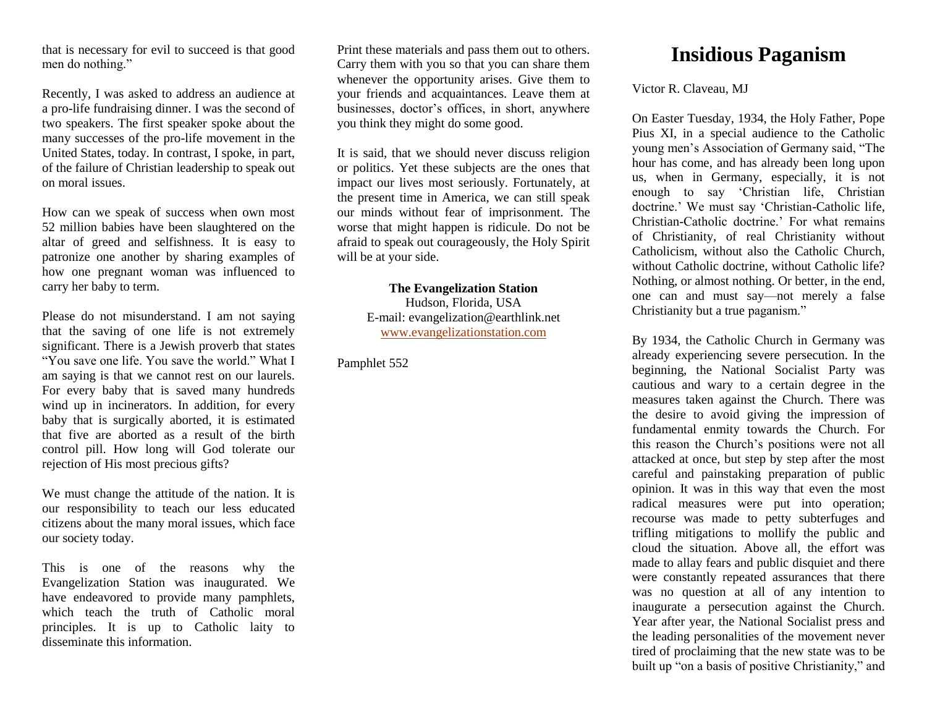that is necessary for evil to succeed is that good men do nothing."

Recently, I was asked to address an audience at a pro-life fundraising dinner. I was the second of two speakers. The first speaker spoke about the many successes of the pro-life movement in the United States, today. In contrast, I spoke, in part, of the failure of Christian leadership to speak out on moral issues.

How can we speak of success when own most 52 million babies have been slaughtered on the altar of greed and selfishness. It is easy to patronize one another by sharing examples of how one pregnant woman was influenced to carry her baby to term.

Please do not misunderstand. I am not saying that the saving of one life is not extremely significant. There is a Jewish proverb that states "You save one life. You save the world." What I am saying is that we cannot rest on our laurels. For every baby that is saved many hundreds wind up in incinerators. In addition, for every baby that is surgically aborted, it is estimated that five are aborted as a result of the birth control pill. How long will God tolerate our rejection of His most precious gifts?

We must change the attitude of the nation. It is our responsibility to teach our less educated citizens about the many moral issues, which face our society today.

This is one of the reasons why the Evangelization Station was inaugurated. We have endeavored to provide many pamphlets, which teach the truth of Catholic moral principles. It is up to Catholic laity to disseminate this information.

Print these materials and pass them out to others. Carry them with you so that you can share them whenever the opportunity arises. Give them to your friends and acquaintances. Leave them at businesses, doctor's offices, in short, anywhere you think they might do some good.

It is said, that we should never discuss religion or politics. Yet these subjects are the ones that impact our lives most seriously. Fortunately, at the present time in America, we can still speak our minds without fear of imprisonment. The worse that might happen is ridicule. Do not be afraid to speak out courageously, the Holy Spirit will be at your side.

> **The Evangelization Station** Hudson, Florida, USA E-mail: evangelization@earthlink.net [www.evangelizationstation.com](http://www.pjpiisoe.org/)

Pamphlet 552

## **Insidious Paganism**

Victor R. Claveau, MJ

On Easter Tuesday, 1934, the Holy Father, Pope Pius XI, in a special audience to the Catholic young men's Association of Germany said, "The hour has come, and has already been long upon us, when in Germany, especially, it is not enough to say 'Christian life, Christian doctrine.' We must say 'Christian-Catholic life, Christian-Catholic doctrine.' For what remains of Christianity, of real Christianity without Catholicism, without also the Catholic Church, without Catholic doctrine, without Catholic life? Nothing, or almost nothing. Or better, in the end, one can and must say—not merely a false Christianity but a true paganism."

By 1934, the Catholic Church in Germany was already experiencing severe persecution. In the beginning, the National Socialist Party was cautious and wary to a certain degree in the measures taken against the Church. There was the desire to avoid giving the impression of fundamental enmity towards the Church. For this reason the Church's positions were not all attacked at once, but step by step after the most careful and painstaking preparation of public opinion. It was in this way that even the most radical measures were put into operation; recourse was made to petty subterfuges and trifling mitigations to mollify the public and cloud the situation. Above all, the effort was made to allay fears and public disquiet and there were constantly repeated assurances that there was no question at all of any intention to inaugurate a persecution against the Church. Year after year, the National Socialist press and the leading personalities of the movement never tired of proclaiming that the new state was to be built up "on a basis of positive Christianity," and